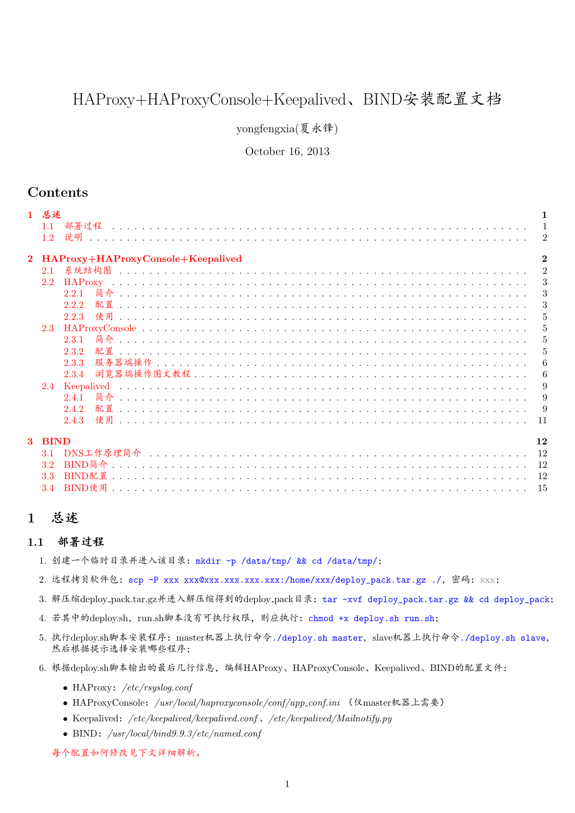# HAProxy+HAProxyConsole+Keepalived、BIND安装配置文档

vongfengxia(夏永锋)

October 16, 2013

# Contents

|                | 1 总述             |                                   |                |
|----------------|------------------|-----------------------------------|----------------|
|                | 1.1              | $\overline{1}$<br>部署过程            |                |
|                | 1.2 <sub>1</sub> | $\mathcal{D}$                     |                |
| $\overline{2}$ |                  | HAProxy+HAProxyConsole+Keepalived | $\overline{2}$ |
|                | 2.1              | $\mathcal{D}$                     |                |
|                | 2.2              | 3                                 |                |
|                |                  | 3<br>2.21                         |                |
|                |                  | 3<br>2.2.2                        |                |
|                |                  | 2.2.3<br>-5                       |                |
|                | 2.3              | $\overline{5}$                    |                |
|                |                  | $\overline{5}$<br>2.3.1           |                |
|                |                  | $\overline{5}$<br>2.3.2           |                |
|                |                  | 2.3.3                             |                |
|                |                  | 6                                 |                |
|                |                  | 2.3.4<br>6                        |                |
|                |                  | -9                                |                |
|                |                  | -9<br>2.4.1                       |                |
|                |                  | -9<br>2.4.2                       |                |
|                |                  | $-11$<br>2.4.3                    |                |
|                | 3 BIND           | 12                                |                |
|                | 3.1              | 12                                |                |
|                | 3.2              | 12                                |                |
|                | 3.3              | 12                                |                |
|                | 3.4              | 15                                |                |
|                |                  |                                   |                |

### <span id="page-0-0"></span>总述  $\mathbf{1}$

#### <span id="page-0-1"></span>部署过程  $1.1$

- 1. 创建一个临时目录并进入该目录: mkdir -p /data/tmp/ && cd /data/tmp/;
- 2. 远程拷贝软件包: scp -P xxx xxx@xxx.xxx.xxx.xxx:/home/xxx/deploy\_pack.tar.gz ./, 密码: xxx;
- 3. 解压缩deploy\_pack.tar.gz并进入解压缩得到的deploy\_pack目录: tar -xvf deploy\_pack.tar.gz && cd deploy\_pack;
- 4. 若其中的deploy.sh, run.sh脚本没有可执行权限, 则应执行: chmod +x deploy.sh run.sh;
- 5. 执行deploy.sh脚本安装程序: master机器上执行命令./deploy.sh master, slave机器上执行命令./deploy.sh slave, 然后根据提示选择安装哪些程序;
- 6. 根据deploy.sh脚本输出的最后几行信息, 编辑HAProxy、HAProxyConsole、Keepalived、BIND的配置文件:
	- HAProxy: /etc/rsyslog.conf
	- HAProxyConsole: /usr/local/haproxyconsole/conf/app\_conf.ini (仅master机器上需要)
	- Keepalived: /etc/keepalived/keepalived.conf. /etc/keepalived/Mailnotify.py
	- $\bullet$  BIND: /usr/local/bind9.9.3/etc/named.conf

每个配置如何修改见下文详细解析。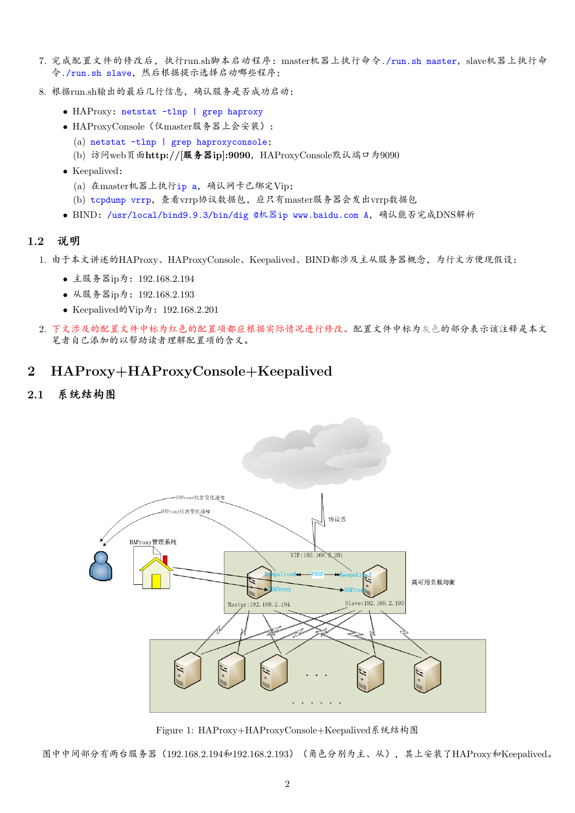- 7. 完成配置文件的修改后,执行run.sh脚本启动程序: master机器上执行命令./run.sh master, slave机器上执行命 令./run.sh slave, 然后根据提示选择启动哪些程序;
- 8. 根据run.sh输出的最后几行信息, 确认服务是否成功启动:
	- HAProxy: netstat -tlnp | grep haproxy
	- HAProxyConsole (仅master服务器上会安装):
		- (a) netstat -tlnp | grep haproxyconsole;
		- (b) 访问web页面http://[服务器ip]:9090, HAProxyConsole默认端口为9090
	- $\bullet$  Keepalived:
		- (a) 在master机器上执行ip a, 确认网卡已绑定Vip;
		- (b) tcpdump vrrp, 查看vrrp协议数据包, 应只有master服务器会发出vrrp数据包
	- BIND: /usr/local/bind9.9.3/bin/dig @机器ip www.baidu.com A, 确认能否完成DNS解析

# <span id="page-1-0"></span>1.2 说明

- 1. 由于本文讲述的HAProxy、HAProxyConsole、Keepalived、BIND都涉及主从服务器概念, 为行文方便现假设:
	- 主服务器ip为: 192.168.2.194
	- 从服务器ip为: 192.168.2.193
	- Keepalived的Vip为: 192.168.2.201
- 2. 下文涉及的配置文件中标为红色的配置项都应根据实际情况进行修改。配置文件中标为灰色的部分表示该注释是本文 笔者自己添加的以帮助读者理解配置项的含义。

### <span id="page-1-1"></span> $\overline{2}$ HAProxy+HAProxyConsole+Keepalived

#### <span id="page-1-2"></span> $2.1$ 系统结构图



Figure 1: HAProxy+HAProxyConsole+Keepalived系统结构图

图中中间部分有两台服务器 (192.168.2.194和192.168.2.193) (角色分别为主、从), 其上安装了HAProxy和Keepalived。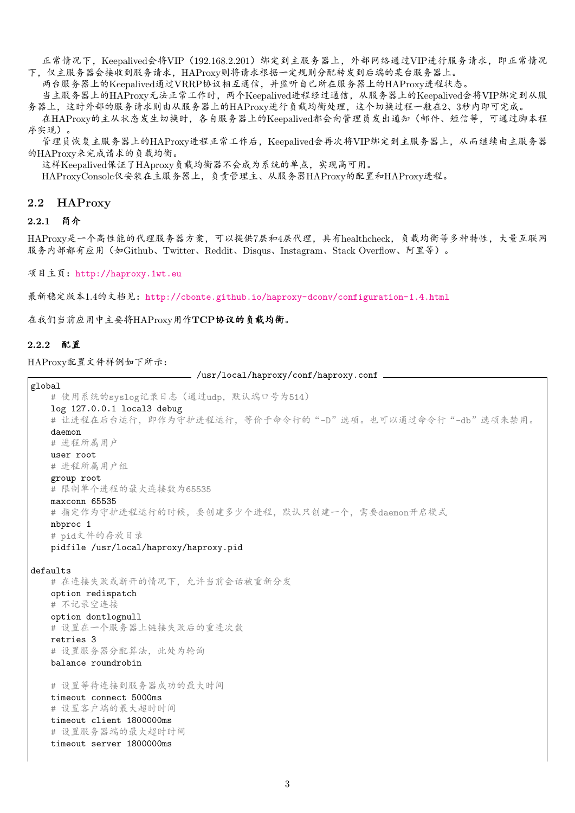正常情况下, Keepalived会将VIP (192.168.2.201) 绑定到主服务器上, 外部网络通过VIP进行服务请求, 即正常情况 下,仅主服务器会接收到服务请求,HAProxy则将请求根据一定规则分配转发到后端的某台服务器上。

两台服务器上的Keepalived通过VRRP协议相互通信,并监听自己所在服务器上的HAProxy进程状态。

当主服务器上的HAProxy无法正常工作时,两个Keepalived进程经过通信,从服务器上的Keepalived会将VIP绑定到从服 务器上, 这时外部的服务请求则由从服务器上的HAProxy进行负载均衡处理, 这个切换过程一般在2、3秒内即可完成。

在HAProxy的主从状态发生切换时,各自服务器上的Keepalived都会向管理员发出通知(邮件、短信等,可通过脚本程 序实现)。

管理员恢复主服务器上的HAProxy进程正常工作后, Keepalived会再次将VIP绑定到主服务器上, 从而继续由主服务器 的HAProxy来完成请求的负载均衡。

这样Keepalived保证了HAproxy负载均衡器不会成为系统的单点, 实现高可用。

HAProxvConsole仅安装在主服务器上, 负责管理主、从服务器HAProxv的配置和HAProxv进程。

#### <span id="page-2-0"></span> $2.2$ **HAProxy**

### <span id="page-2-1"></span> $2.2.1$  简介

HAProxy是一个高性能的代理服务器方案,可以提供7层和4层代理,具有healthcheck,负载均衡等多种特性,大量互联网 服务内部都有应用(如Github、Twitter、Reddit、Disqus、Instagram、Stack Overflow、阿里等)。

项目主页: http://haproxv.1wt.eu

最新稳定版本1.4的文档见:http://cbonte.github.io/haproxy-dconv/configuration-1.4.html

在我们当前应用中主要将HAProxv用作TCP协议的负载均衡。

### <span id="page-2-2"></span> $2.2.2$  配置

global

HAProxv配置文件样例如下所示:

 $\mu$  /usr/local/haproxy/conf/haproxy.conf  $\mu$ 

# 使用系统的syslog记录日志 (通过udp, 默认端口号为514) log 127.0.0.1 local3 debug # 让进程在后台运行, 即作为守护进程运行, 等价于命令行的"-D"选项。也可以通过命令行"-db"选项来禁用。 daemon # 进程所属用户 user root # 进程所属用户组 group root # 限制单个进程的最大连接数为65535 maxconn 65535 # 指定作为守护进程运行的时候, 要创建多少个进程, 默认只创建一个, 需要daemon开启模式 nbproc 1 # pid文件的存放目录 pidfile /usr/local/haproxy/haproxy.pid defaults # 在连接失败或断开的情况下, 允许当前会话被重新分发 option redispatch # 不记录空连接 option dontlognull # 设置在一个服务器上链接失败后的重连次数 retries 3 # 设置服务器分配算法, 此处为轮询 balance roundrobin # 设置等待连接到服务器成功的最大时间 timeout connect 5000ms # 设置客户端的最大超时时间 timeout client 1800000ms # 设置服务器端的最大超时时间 timeout server 1800000ms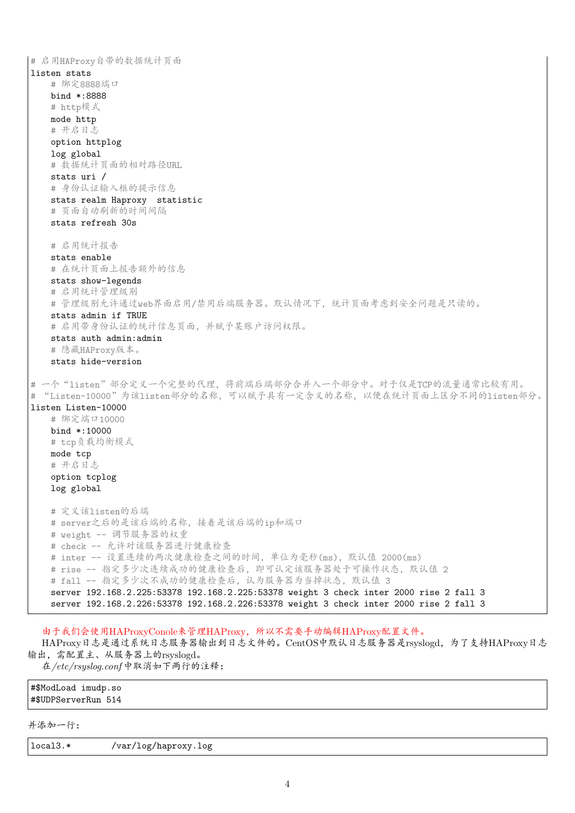# 启用HAProxy自带的数据统计页面 listen stats # 绑定8888端口 bind \*:8888 # http模式 mode http # 开启日志 option httplog log global # 数据统计页面的相对路径URL stats uri / # 身份认证输入框的提示信息 stats realm Haproxy statistic # 页面自动刷新的时间间隔 stats refresh 30s # 启用统计报告 stats enable # 在统计页面上报告额外的信息 stats show-legends # 启用统计管理级别 # 管理级别允许通过web界面启用/禁用后端服务器。默认情况下, 统计页面考虑到安全问题是只读的。 stats admin if TRUE # 启用带身份认证的统计信息页面, 并赋予某账户访问权限。 stats auth admin: admin # 隐藏HAProxy版本。 stats hide-version # 一个"listen"部分定义一个完整的代理,将前端后端部分合并入一个部分中。对于仅是TCP的流量通常比较有用。 # "Listen-10000"为该listen部分的名称,可以赋予具有一定含义的名称, 以便在统计页面上区分不同的listen部分。 listen Listen-10000 # 绑定端口10000 bind  $*:10000$ # tcp负载均衡模式 mode tcp # 开启日志 option toplog log global # 定义该listen的后端 # server之后的是该后端的名称, 接着是该后端的ip和端口 # weight -- 调节服务器的权重 # check -- 允许对该服务器进行健康检查 # inter -- 设置连续的两次健康检查之间的时间, 单位为毫秒(ms), 默认值 2000(ms) # rise -- 指定多少次连续成功的健康检查后, 即可认定该服务器处于可操作状态, 默认值 2 # fall -- 指定多少次不成功的健康检查后, 认为服务器为当掉状态, 默认值 3 server 192.168.2.225:53378 192.168.2.225:53378 weight 3 check inter 2000 rise 2 fall 3 server 192.168.2.226:53378 192.168.2.226:53378 weight 3 check inter 2000 rise 2 fall 3

由于我们会使用HAProxvConole来管理HAProxv. 所以不需要手动编辑HAProxv配置文件。

HAProxy日志是通过系统日志服务器输出到日志文件的。CentOS中默认日志服务器是rsvslogd, 为了支持HAProxy日志 输出, 需配置主、从服务器上的rsvslogd。

在/etc/rsyslog.conf中取消如下两行的注释:

| #\$ModLoad imudp.so |  |  |
|---------------------|--|--|
| #\$UDPServerRun 514 |  |  |

并添加一行:

 $local3.*$ /var/log/haproxy.log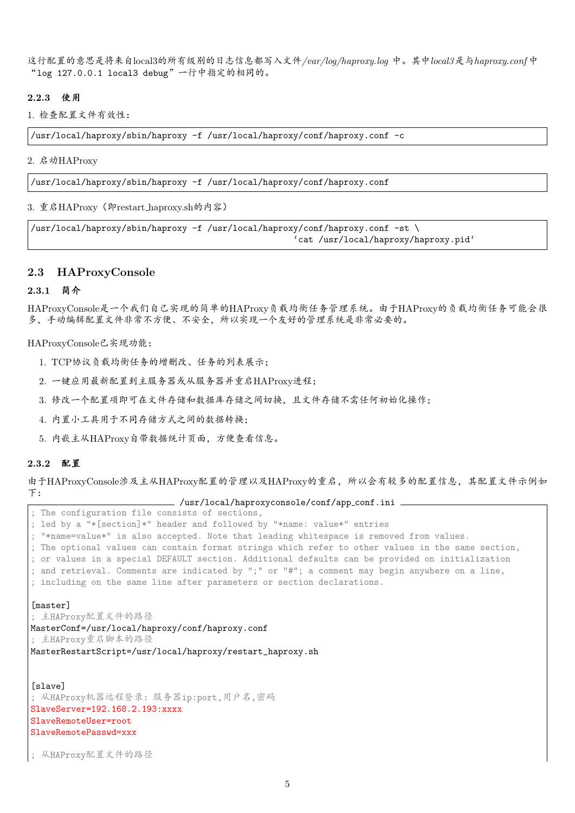这行配置的意思是将来自local3的所有级别的日志信息都写入文件/var/log/haproxy.log 中。其中local3是与haproxy.conf中 "log 127.0.0.1 local3 debug"一行中指定的相同的。

### <span id="page-4-0"></span> $2.2.3$  使用

1. 检查配置文件有效性:

/usr/local/haproxy/sbin/haproxy -f /usr/local/haproxy/conf/haproxy.conf -c

### 2. 启动HAProxy

/usr/local/haproxy/sbin/haproxy -f /usr/local/haproxy/conf/haproxy.conf

3. 重启HAProxy (即restart\_haproxy.sh的内容)

/usr/local/haproxy/sbin/haproxy -f /usr/local/haproxy/conf/haproxy.conf -st \ 'cat /usr/local/haproxy/haproxy.pid'

#### <span id="page-4-1"></span>**HAProxyConsole** 2.3

# <span id="page-4-2"></span> $2.3.1$  简介

HAProxyConsole是一个我们自己实现的简单的HAProxy负载均衡任务管理系统。由于HAProxy的负载均衡任务可能会很 多,手动编辑配置文件非常不方便、不安全,所以实现一个友好的管理系统是非常必要的。

HAProxyConsole已实现功能:

- 1. TCP协议负载均衡任务的增删改、任务的列表展示;
- 2. 一键应用最新配置到主服务器或从服务器并重启HAProxy进程;
- 3. 修改一个配置项即可在文件存储和数据库存储之间切换, 且文件存储不需任何初始化操作;
- 4. 内置小工具用干不同存储方式之间的数据转换:
- 5. 内嵌主从HAProxy自带数据统计页面,方便查看信息。

### <span id="page-4-3"></span>2.3.2 配置

由于HAProxyConsole涉及主从HAProxy配置的管理以及HAProxy的重启, 所以会有较多的配置信息, 其配置文件示例如  $\mathcal{F}:$ 

\_/usr/local/haproxyconsole/conf/app\_conf.ini \_ ; The configuration file consists of sections, ; led by a "\*[section]\*" header and followed by "\*name: value\*" entries : "\*name=value\*" is also accepted. Note that leading whitespace is removed from values. : The optional values can contain format strings which refer to other values in the same section. ; or values in a special DEFAULT section. Additional defaults can be provided on initialization ; and retrieval. Comments are indicated by ";" or "#"; a comment may begin anywhere on a line, ; including on the same line after parameters or section declarations. [master] ; 主HAProxy配置文件的路径 MasterConf=/usr/local/haproxy/conf/haproxy.conf ; 主HAProxy重启脚本的路径 MasterRestartScript=/usr/local/haproxy/restart\_haproxy.sh [slave] ; 从HAProxy机器远程登录: 服务器ip:port,用户名,密码 SlaveServer=192.168.2.193: xxxx SlaveRemoteUser=root SlaveRemotePasswd=xxx ; 从HAProxy配置文件的路径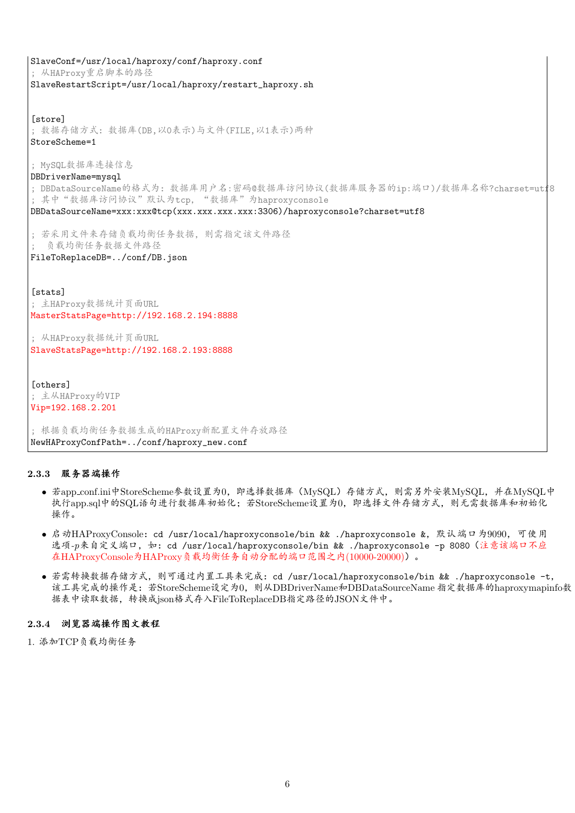| SlaveConf=/usr/local/haproxy/conf/haproxy.conf<br>; 从HAProxy重启脚本的路径<br>SlaveRestartScript=/usr/local/haproxy/restart_haproxy.sh                                                                                                                   |  |
|---------------------------------------------------------------------------------------------------------------------------------------------------------------------------------------------------------------------------------------------------|--|
| [store]<br>; 数据存储方式: 数据库(DB,以0表示)与文件(FILE,以1表示)两种<br>StoreScheme=1                                                                                                                                                                                |  |
| ; MySQL数据库连接信息<br>DBDriverName=mysql<br>; DBDataSourceName的格式为: 数据库用户名:密码@数据库访问协议(数据库服务器的ip:端口)/数据库名称?charset=utf8<br>; 其中"数据库访问协议"默认为tcp, "数据库"为haproxyconsole<br>DBDataSourceName=xxx:xxx@tcp(xxx.xxx.xxx.xxx:3306)/haproxyconsole?charset=utf8 |  |
| ; 若采用文件来存储负载均衡任务数据, 则需指定该文件路径<br>负载均衡任务数据文件路径<br>FileToReplaceDB=/conf/DB.json                                                                                                                                                                    |  |
| [stats]<br>; 主HAProxy数据统计页面URL<br>MasterStatsPage=http://192.168.2.194:8888                                                                                                                                                                       |  |
| ; 从HAProxy数据统计页面URL<br>SlaveStatsPage=http://192.168.2.193:8888                                                                                                                                                                                   |  |
| [others]<br>; 主从HAProxy的VIP<br>Vip=192.168.2.201                                                                                                                                                                                                  |  |
| ; 根据负载均衡任务数据生成的HAProxy新配置文件存放路径<br>NewHAProxyConfPath=/conf/haproxy_new.conf                                                                                                                                                                      |  |

# <span id="page-5-0"></span>2.3.3 服务器端操作

- 若app\_conf.ini中StoreScheme参数设置为0, 即选择数据库 (MySQL) 存储方式, 则需另外安装MySQL, 并在MySQL中 执行app.sql中的SQL语句进行数据库初始化;若StoreScheme设置为0,即选择文件存储方式,则无需数据库和初始化 操作。
- 启动HAProxyConsole: cd /usr/local/haproxyconsole/bin && ./haproxyconsole &, 默认端口为9090, 可使用 选项-p来自定义端口, 如: cd /usr/local/haproxyconsole/bin && ./haproxyconsole -p 8080 (注意该端口不应 在HAProxyConsole为HAProxy负载均衡任务自动分配的端口范围之内(10000-20000))。
- 若需转换数据存储方式, 则可通过内置工具来完成: cd /usr/local/haproxyconsole/bin && ./haproxyconsole -t, 该工具完成的操作是: 若StoreScheme设定为0. 则从DBDriverName和DBDataSourceName 指定数据库的haproxymapinfo数 据表中读取数据, 转换成ison格式存入FileToReplaceDB指定路径的JSON文件中。

## <span id="page-5-1"></span>2.3.4 浏览器端操作图文教程

1. 添加TCP负载均衡任务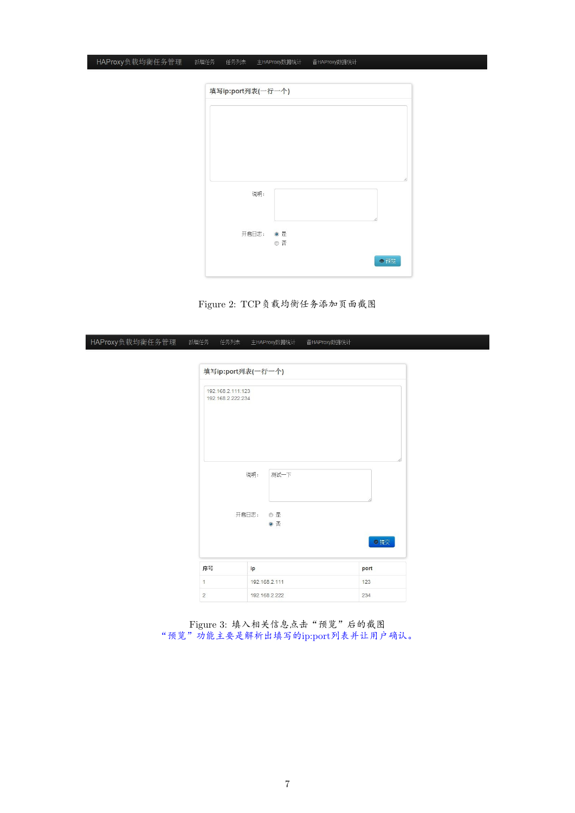| HAProxy负载均衡任务管理 | 新增任务 | 仟务列表 | 主HAProxy数据统计 | 备HAProxy数据统计 |
|-----------------|------|------|--------------|--------------|
|-----------------|------|------|--------------|--------------|

| 填写ip:port列表(一行一个) |    |     |
|-------------------|----|-----|
|                   |    |     |
|                   |    |     |
|                   |    |     |
| 说明:               |    |     |
| 开启日志: ◎ 是         | ◎否 |     |
|                   |    | ●预览 |

Figure 2: TCP负载均衡任务添加页面截图

|                                        | 填写ip:port列表(一行一个) |               |      |     |
|----------------------------------------|-------------------|---------------|------|-----|
| 192.168.2.111:123<br>192.168.2.222:234 |                   |               |      |     |
|                                        | 说明:               | 测试一下          |      |     |
|                                        | 开启日志:             | ◎ 是<br>◎ 否    |      | ●提交 |
| 序号                                     | ip                |               | port |     |
| $\mathbf{1}$                           |                   | 192.168.2.111 | 123  |     |
| $\overline{c}$                         |                   | 192.168.2.222 | 234  |     |

Figure 3: 填入相关信息点击"预览"后的截图<br>"预览"功能主要是解析出填写的ip:port列表并让用户确认。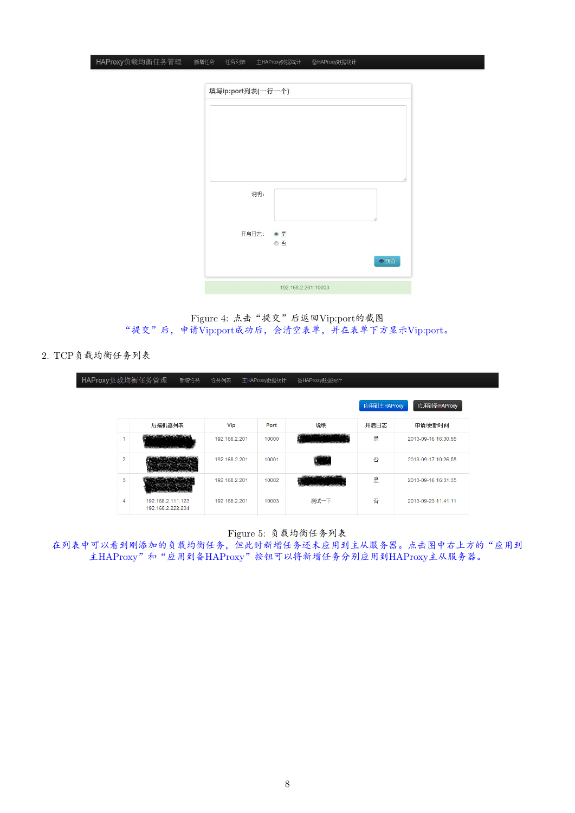| HAProxy负载均衡任务管理 | 新增任务 | 任务列表 | 主HAProxy数据统计 | 备HAProxy数据统计 |
|-----------------|------|------|--------------|--------------|
|                 |      |      |              |              |

| 填写ip:port列表(一行一个) |                     |     |
|-------------------|---------------------|-----|
| 说明:               |                     |     |
| 开启日志: ◎ 是         | ◎否                  | ●预览 |
|                   | 192.168.2.201:10003 |     |

Figure 4: 点击"提交"后返回Vip:port的截图<br>"提交"后, 申请Vip:port成功后, 会清空表单, 并在表单下方显示Vip:port。

2. TCP负载均衡任务列表

| HAProxy负载均衡任务管理      | 新增任务 |                                                  |       | 备HAProxy数据统计 |              |                     |
|----------------------|------|--------------------------------------------------|-------|--------------|--------------|---------------------|
|                      |      |                                                  |       |              |              |                     |
|                      |      |                                                  |       |              |              | 应用到备HAProxy         |
|                      |      | Vip                                              | Port  | 说明           | 开启日志         | 申请/更新时间             |
| $\blacktriangleleft$ |      | 192.168.2.201                                    | 10000 |              | 是            | 2013-09-16 16:30:55 |
|                      |      | 192.168.2.201                                    | 10001 |              | 否            | 2013-09-17 10:26:58 |
|                      |      | 192.168.2.201                                    | 10002 |              | 是            | 2013-09-16 16:31:35 |
|                      |      | 192.168.2.201                                    | 10003 | 测试一下         | 否            | 2013-09-23 11:41:11 |
|                      |      | 后端机器列表<br>192.168.2.111:123<br>192.168.2.222:234 | 任务列表  |              | 主HAProxy数据统计 | 应用到主HAProxy         |

# Figure 5: 负载均衡任务列表

在列表中可以看到刚添加的负载均衡任务, 但此时新增任务还未应用到主从服务器。点击图中右上方的"应用到 主HAProxy"和"应用到备HAProxy"按钮可以将新增任务分别应用到HAProxy主从服务器。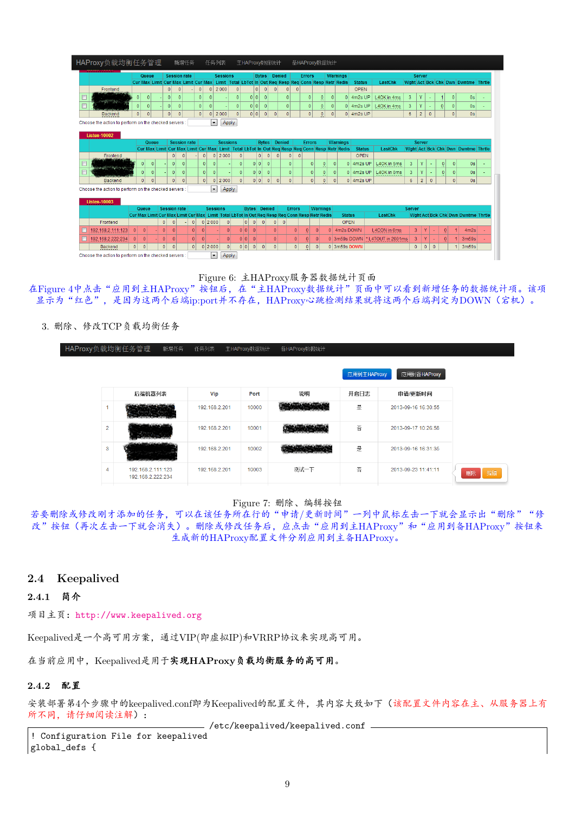| HAProxy负载均衡任务管理                                       |                                                                                                |              |              |                     | 新增任务                |              |              | 任务列表                     |                 |              | 主HAProxy数据统计        |                |                |               |                |               | 备HAProxy数据统计   |                 |                |                                                                                                |               |                                 |        |                |              |                |                                |              |                                    |        |
|-------------------------------------------------------|------------------------------------------------------------------------------------------------|--------------|--------------|---------------------|---------------------|--------------|--------------|--------------------------|-----------------|--------------|---------------------|----------------|----------------|---------------|----------------|---------------|----------------|-----------------|----------------|------------------------------------------------------------------------------------------------|---------------|---------------------------------|--------|----------------|--------------|----------------|--------------------------------|--------------|------------------------------------|--------|
|                                                       |                                                                                                | Queue        |              | <b>Session rate</b> |                     |              |              |                          | <b>Sessions</b> |              |                     | <b>Bytes</b>   |                | <b>Denied</b> |                |               | Errors         |                 |                | <b>Warnings</b>                                                                                |               |                                 |        | Server         |              |                |                                |              |                                    |        |
|                                                       | Cur Max Limit Cur Max Limit Cur Max Limit Total LbTot In Out Reg Resp Reg Conn Resp Retr Redis |              |              |                     |                     |              |              |                          |                 |              |                     |                |                |               |                |               |                |                 |                |                                                                                                | <b>Status</b> | LastChk                         |        |                |              |                |                                |              | Wght Act Bck Chk Dwn Dwntme Thrtle |        |
| Frontend                                              |                                                                                                |              |              | $\mathbf{0}$        | $\mathbf{0}$        |              | $\mathbf{0}$ | $\overline{0}$           | 2000            | $\mathbf{0}$ |                     | 0              | 0              | $\mathbf{0}$  | 0              | $\mathbf{0}$  |                |                 |                |                                                                                                | <b>OPEN</b>   |                                 |        |                |              |                |                                |              |                                    |        |
| <b>HARRY AND</b>                                      | $\Omega$                                                                                       | 0            |              | $\Omega$            | 0                   |              | $\mathbf{0}$ | $\mathbf{0}$             |                 | $\mathbf 0$  |                     | 0 0            | $\mathbf{0}$   |               | 0              |               | 0              | 0               | 0              | $\Omega$                                                                                       | 4m2s UP       | L4OK in 4ms                     | 3      | Y              | ٠            |                |                                |              | 0s                                 | ٠      |
|                                                       | $\Omega$                                                                                       | $\Omega$     |              | $\mathbf{0}$        | $\mathbf{0}$        |              | $\mathbf{0}$ | $\mathbf 0$              |                 | $\mathbf{0}$ | $\overline{0}$      | $\mathbf{0}$   | $\mathbf{0}$   |               | $\Omega$       |               | $\mathbf 0$    | 0               | $\mathbf{0}$   |                                                                                                | $0$ 4m2s UP   | L4OK in 4ms                     | 3      | Y              | ٠            |                | $\mathbf{0}$<br>$\overline{1}$ |              | 0s                                 | $\sim$ |
| Backend                                               | $\mathbf{0}$                                                                                   | $\Omega$     |              | $\Omega$            | $\overline{0}$      |              | $\mathbf{0}$ | $\mathbf{0}$             | 2000            | $\mathbf{0}$ |                     | 0 0            | 0              | $\mathbf{0}$  | $\Omega$       |               | $\mathbf{0}$   | $\mathbf{0}$    | $\Omega$       |                                                                                                | $0$   4m2s UP |                                 | 6      | $\overline{2}$ | $\mathbf{0}$ |                |                                |              | 0s                                 |        |
| Choose the action to perform on the checked servers : |                                                                                                |              |              |                     |                     |              |              | $\overline{\phantom{a}}$ | Apply           |              |                     |                |                |               |                |               |                |                 |                |                                                                                                |               |                                 |        |                |              |                |                                |              |                                    |        |
|                                                       |                                                                                                |              |              |                     |                     |              |              |                          |                 |              |                     |                |                |               |                |               |                |                 |                |                                                                                                |               |                                 |        |                |              |                |                                |              |                                    |        |
| <b>Listen-10002</b>                                   |                                                                                                | Queue        |              |                     | <b>Session rate</b> |              |              |                          | <b>Sessions</b> |              |                     |                | <b>Bytes</b>   |               | <b>Denied</b>  |               | <b>Errors</b>  |                 |                | <b>Warnings</b>                                                                                |               |                                 |        | Server         |              |                |                                |              |                                    |        |
|                                                       |                                                                                                |              |              |                     |                     |              |              |                          |                 |              |                     |                |                |               |                |               |                |                 |                | Cur Max Limit Cur Max Limit Cur Max Limit Total LbTot In Out Reg Resp Reg Conn Resp Retr Redis | <b>Status</b> | LastChk                         |        |                |              |                |                                |              | Waht Act Bck Chk Dwn Dwntme Thrtle |        |
| Frontend                                              |                                                                                                |              |              | $\mathbf{0}$        | $\mathbf{0}$        |              | $\mathbf{0}$ | $\overline{0}$           | 2000            | $\mathbf{0}$ |                     | 0              | $\overline{0}$ | $\mathbf{0}$  | $\overline{0}$ | $\mathbf{0}$  |                |                 |                |                                                                                                | <b>OPEN</b>   |                                 |        |                |              |                |                                |              |                                    |        |
|                                                       | 0                                                                                              | $\mathbf{0}$ |              | $\mathbf{0}$        | $\circ$             |              | $\mathbf{0}$ | $\mathbf{0}$             |                 | $\circ$      |                     | 0 0            | $\mathbf{0}$   |               | 0              |               | $\mathbf{0}$   |                 | $\mathbf{0}$   | $\mathbf{0}$<br>$\Omega$                                                                       | 4m2s UP       | L4OK in 5ms                     | 3      |                |              |                | $\overline{0}$                 | 0            | 0s                                 |        |
|                                                       | $\mathbf{0}$                                                                                   | $\mathbf{0}$ |              | $\Omega$            | $\mathbf{0}$        |              | $\mathbf{0}$ | $\mathbf{0}$             |                 | $\mathbf{0}$ |                     | 0 0            | $\mathbf{0}$   |               | $\mathbf{0}$   |               | $\mathbf{0}$   |                 | $\mathbf{0}$   | $\overline{0}$                                                                                 | $0$ 4m2s UP   | L4OK in 0ms                     | 3      | Y              |              |                | $\mathbf{0}$                   |              | 0s                                 |        |
| <b>Backend</b>                                        | $\mathbf{0}$                                                                                   | $\mathbf{0}$ |              | $\mathbf{0}$        | $\mathbf{0}$        |              | $\mathbf{0}$ | $\mathbf{0}$             | 2000            | $\mathbf{0}$ |                     | 0 0            | 0              | $\mathbf{0}$  | $\mathbf{0}$   |               | $\overline{0}$ |                 | $\mathbf{0}$   | $\mathbf{0}$                                                                                   | $0$ 4m2s UP   |                                 | 6      | $\overline{c}$ |              | $\mathbf{0}$   |                                | $\mathbf{0}$ | 0s                                 |        |
| Choose the action to perform on the checked servers : |                                                                                                |              |              |                     |                     |              |              | ▾                        | Apply           |              |                     |                |                |               |                |               |                |                 |                |                                                                                                |               |                                 |        |                |              |                |                                |              |                                    |        |
|                                                       |                                                                                                |              |              |                     |                     |              |              |                          |                 |              |                     |                |                |               |                |               |                |                 |                |                                                                                                |               |                                 |        |                |              |                |                                |              |                                    |        |
| <b>Listen-10003</b>                                   |                                                                                                |              |              |                     |                     |              |              |                          |                 |              |                     |                |                |               |                |               |                |                 |                |                                                                                                |               |                                 |        |                |              |                |                                |              |                                    |        |
|                                                       | Queue                                                                                          |              |              | <b>Session rate</b> |                     |              |              | <b>Sessions</b>          |                 |              | <b>Bytes</b> Denied |                |                |               |                | <b>Errors</b> |                | <b>Warnings</b> |                |                                                                                                |               |                                 | Server |                |              |                |                                |              |                                    |        |
|                                                       | Cur Max Limit Cur Max Limit Cur Max Limit Total LbTot In Out Reg Resp Reg Conn Resp Retr Redis |              |              |                     |                     |              |              | 0 2000                   |                 |              |                     |                |                |               |                |               |                |                 |                | <b>Status</b>                                                                                  |               | LastChk                         |        |                |              |                |                                |              | Wght Act Bck Chk Dwn Dwntme Thrtle |        |
| Frontend                                              |                                                                                                |              | $\Omega$     | $\Omega$            |                     | $\mathbf{0}$ |              |                          | $\mathbf{0}$    |              | $\mathbf{0}$        | $\overline{0}$ | $\Omega$       | $\Omega$      | $\theta$       |               |                |                 |                | <b>OPEN</b>                                                                                    |               |                                 |        |                |              |                |                                |              |                                    |        |
| 192.168.2.111:123                                     | 0 <br>$\Omega$                                                                                 |              | $\Omega$     | $\Omega$            |                     | $\Omega$     | $\mathbf{0}$ |                          | $\mathbf{0}$    |              | 0 0                 | $\mathbf{0}$   |                | $\mathbf{0}$  |                | $\mathbf{0}$  | $\overline{0}$ | $\overline{0}$  | 0 <sup>1</sup> | 4m2s DOWN                                                                                      |               | L4CON in 0ms                    |        | 3              | Y            | $\blacksquare$ | $\overline{0}$                 |              | 4 <sub>m2s</sub>                   | ÷      |
| 192.168.2.222:234                                     | $\mathbf{0}$<br>$\Omega$                                                                       |              | $\Omega$     | $\mathbf{0}$        |                     | 0            | $\mathbf{0}$ |                          | $\mathbf{0}$    |              | 0 0                 | $\mathbf{0}$   |                | $\Omega$      |                | $\Omega$      | $\mathbf{0}$   | $\mathbf{0}$    |                |                                                                                                |               | 0 3m59s DOWN * L4TOUT in 2001ms |        | 3              | Y            | ٠              | $\overline{0}$                 |              | 3m59s                              |        |
| Backend                                               | $\mathbf{0}$<br>$\Omega$                                                                       |              | $\mathbf{0}$ | $\mathbf{0}$        |                     | $\Omega$     |              | 0 2000                   | $\mathbf{0}$    |              | 0 0                 | $\mathbf{0}$   | $\mathbf{0}$   | $\theta$      |                | $\Omega$      | $\mathbf{0}$   | $\overline{0}$  |                | 0 3m59s DOWN                                                                                   |               |                                 |        | $\mathbf{0}$   | $\mathbf{0}$ | $\mathbf{0}$   |                                |              | 3m59s                              |        |
| Choose the action to perform on the checked servers : |                                                                                                |              |              |                     |                     |              |              | $\blacksquare$           | Apply           |              |                     |                |                |               |                |               |                |                 |                |                                                                                                |               |                                 |        |                |              |                |                                |              |                                    |        |

Figure 6: 主HAProxy服务器数据统计页面

在Figure 4中点击"应用到主HAProxy"按钮后, 在"主HAProxy数据统计"页面中可以看到新增任务的数据统计项。该项 显示为"红色",是因为这两个后端ip:port并不存在, HAProxy心跳检测结果就将这两个后端判定为DOWN(宕机)。

3. 删除、修改TCP负载均衡任务

 $HA$ 

|                | Proxy负载均衡任务管理                          | 新增任务 | 任务列表          | 主HAProxy数据统计 | 备HAProxy数据统计            |             |                     |          |
|----------------|----------------------------------------|------|---------------|--------------|-------------------------|-------------|---------------------|----------|
|                |                                        |      |               |              |                         | 应用到主HAProxy | 应用到备HAProxy         |          |
|                | 后端机器列表                                 |      | Vip           | Port         | 说明                      | 开启日志        | 申请/更新时间             |          |
| и              |                                        |      | 192.168.2.201 | 10000        | <b>REPORT OF STRAIN</b> | 是           | 2013-09-16 16:30:55 |          |
| $\overline{2}$ |                                        |      | 192.168.2.201 | 10001        |                         | 否           | 2013-09-17 10:26:58 |          |
| 3              |                                        |      | 192.168.2.201 | 10002        | <b>MARKET MARKET</b>    | 是           | 2013-09-16 16:31:35 |          |
| 4              | 192.168.2.111:123<br>192.168.2.222:234 |      | 192.168.2.201 | 10003        | 测试一下                    | 否           | 2013-09-23 11:41:11 | 编辑<br>删除 |
|                |                                        |      |               |              |                         |             |                     |          |

# Figure 7: 删除、编辑按钮

若要删除或修改刚才添加的任务,可以在该任务所在行的"申请/更新时间"一列中鼠标左击一下就会显示出"删除""修<br>改"按钮(再次左击一下就会消失)。删除或修改任务后,应点击"应用到主HAProxy"和"应用到备HAProxy"按钮来 生成新的HAProxy配置文件分别应用到主备HAProxy。

# <span id="page-8-0"></span>2.4 Keepalived

<span id="page-8-1"></span>2.4.1 简介

项目主页: http://www.keepalived.org

Keepalived是一个高可用方案, 通过VIP(即虚拟IP)和VRRP协议来实现高可用。

在当前应用中, Keepalived是用于实现HAProxy负载均衡服务的高可用。

## <span id="page-8-2"></span>2.4.2 配置

安装部署第4个步骤中的keepalived.conf即为Keepalived的配置文件, 其内容大致如下(该配置文件内容在主、从服务器上有 所不同,请仔细阅读注解):

- /etc/keepalived/keepalived.conf -

! Configuration File for keepalived global\_defs {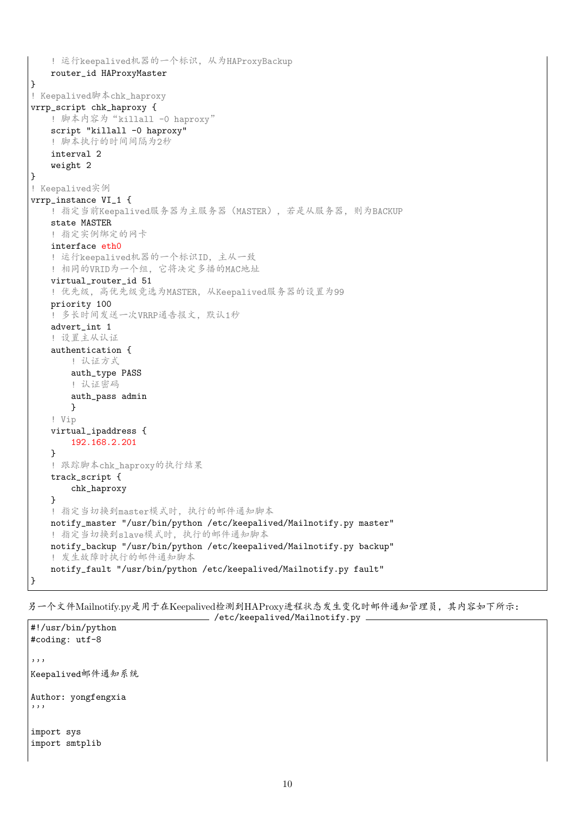```
! 运行keepalived机器的一个标识, 从为HAProxyBackup
   router_id HAProxyMaster
\mathcal{F}! Keepalived脚本chk_haproxy
vrrp_script chk_haproxy {
   ! 脚本内容为"killall -0 haproxy"
   script "killall -0 haproxy"
   ! 脚本执行的时间间隔为2秒
   interval 2
   weight 2
<sup>}</sup>
! Keepalived实例
vrrp_instance VI_1 {
   ! 指定当前Keepalived服务器为主服务器 (MASTER), 若是从服务器, 则为BACKUP
   state MASTER
   ! 指定实例绑定的网卡
   interface eth0
   ! 运行keepalived机器的一个标识ID, 主从一致
   ! 相同的VRID为一个组, 它将决定多播的MAC地址
   virtual_router_id 51
   ! 优先级, 高优先级竞选为MASTER, 从Keepalived服务器的设置为99
   priority 100
   ! 多长时间发送一次VRRP通告报文, 默认1秒
   advert_int 1
   ! 设置主从认证
   authentication {
      ! 认证方式
       auth_type PASS
       ! 认证密码
       auth_pass admin
       \rightarrow! Vip
   virtual_ipaddress {
       192.168.2.201
   \mathcal{F}! 跟踪脚本chk_haproxy的执行结果
   track_script {
       chk_haproxy
   \mathcal{L}! 指定当切换到master模式时, 执行的邮件通知脚本
   notify_master "/usr/bin/python /etc/keepalived/Mailnotify.py master"
   ! 指定当切换到slave模式时, 执行的邮件通知脚本
   notify_backup "/usr/bin/python /etc/keepalived/Mailnotify.py backup"
   ! 发生故障时执行的邮件通知脚本
   notify_fault "/usr/bin/python /etc/keepalived/Mailnotify.py fault"
\boldsymbol{\}}
```
另一个文件Mailnotify.py是用于在Keepalived检测到HAProxy进程状态发生变化时邮件通知管理员, 其内容如下所示: . /etc/keepalived/Mailnotify.py

```
#!/usr/bin/python
#coding: utf-8
, , ,Keepalived邮件通知系统
Author: yongfengxia
, , ,import sys
import smtplib
```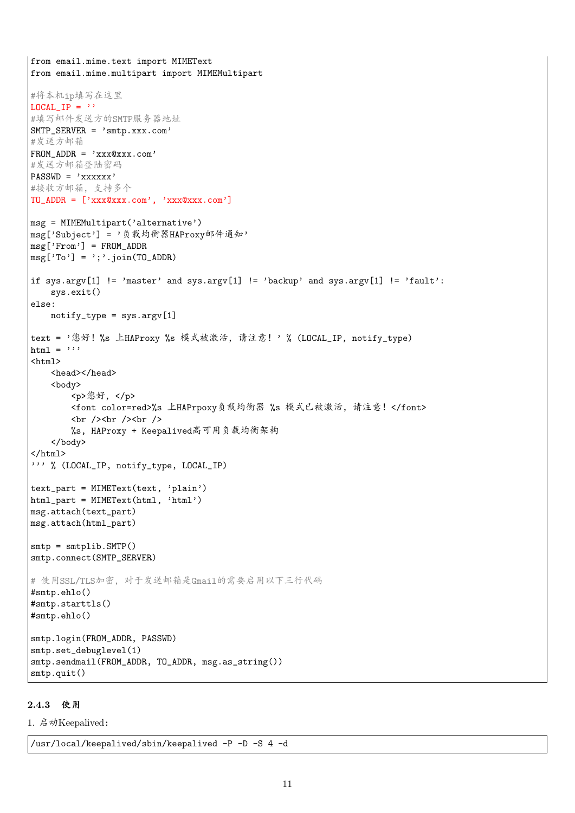```
from email.mime.text import MIMEText
from email.mime.multipart import MIMEMultipart
#将本机ip填写在这里
LOGAL_IP = ''#填写邮件发送方的SMTP服务器地址
SMTP_SERVER = 'smtp.xxx.com'
#发送方邮箱
FROM\_ADDR = 'xxx@xxx.com'#发送方邮箱登陆密码
PASSWD = 'xxxxxy'#接收方邮箱,支持多个
TO_{ADDR} = ['xxxx@xxx.com', 'xxxx@xxx.com']msg = MIMEMultipart('alternative')
msg['Subject'] = '负载均衡器HAProxy邮件通知'
msg['From'] = FROM\_ADDRmsg['To'] = ';'.join(T0_ADDR)if sys.argv[1] != 'master' and sys.argv[1] != 'backup' and sys.argv[1] != 'fault':
   sys.exit()else:
   notify_type = sys.argv[1]text = '您好! %s 上HAProxy %s 模式被激活, 请注意! ' % (LOCAL_IP, notify_type)
html = ''''\verb|html|<head></head>
   <body>
       <p>您好, </p>
       <font color=red>%s 上HAPrpoxy负载均衡器 %s 模式已被激活, 请注意!</font>
       br /> \frac{1}{2} /> \frac{1}{2}%s, HAProxy + Keepalived高可用负载均衡架构
   </body>
\langle/html>
"", % (LOCAL_IP, notify_type, LOCAL_IP)
text_part = MIMEText(text, 'plain')
html\_part = MIMEText(html, 'html')msg.attach(text_part)
msg.attach(html_part)
smtp = smtplib.SMTP()smtp.connect(SMTP_SERVER)
# 使用SSL/TLS加密, 对于发送邮箱是Gmail的需要启用以下三行代码
#smtp.ehlo()#smtp.startils()#smtp.ehlo()
smtp.login(FROM_ADDR, PASSWD)
smtp.set_debuglevel(1)
smtp.sendmail(FROM_ADDR, TO_ADDR, msg.as_string())
smtp.quit()
```
# <span id="page-10-0"></span>2.4.3 使用

1. 启动Keepalived:

/usr/local/keepalived/sbin/keepalived -P -D -S 4 -d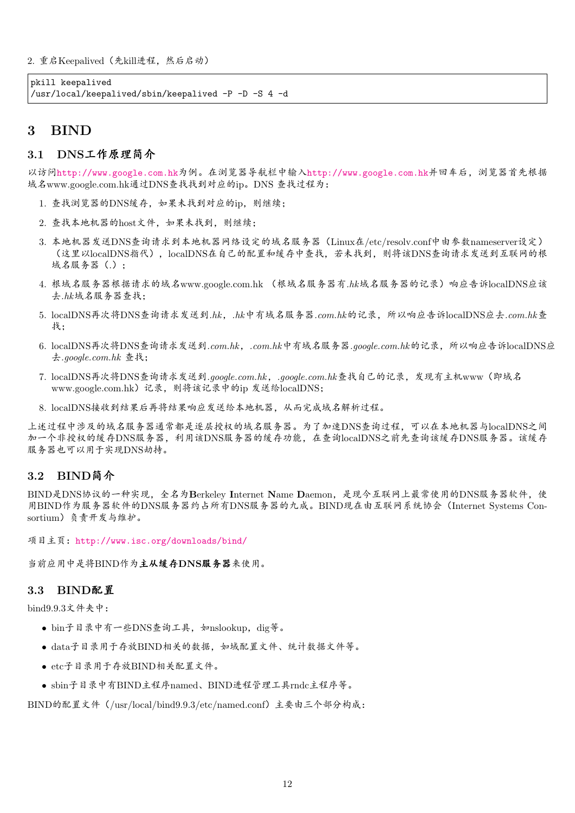#### <span id="page-11-0"></span>3 **BIND**

#### <span id="page-11-1"></span>DNS工作原理简介  $3.1$

以访问http://www.google.com.hk为例。在浏览器导航栏中输入http://www.google.com.hk并回车后, 浏览器首先根据 域名www.google.com.hk通过DNS查找找到对应的ip。DNS 查找过程为:

- 1. 查找浏览器的DNS缓存, 如果未找到对应的ip, 则继续;
- 2. 查找本地机器的host文件, 如果未找到, 则继续;
- 3. 本地机器发送DNS查询请求到本地机器网络设定的域名服务器 (Linux在/etc/resolv.conf中由参数nameserver设定) (这里以localDNS指代), localDNS在自己的配置和缓存中查找, 若未找到, 则将该DNS查询请求发送到互联网的根 域名服务器(.):
- 4. 根域名服务器根据请求的域名www.google.com.hk (根域名服务器有.hk域名服务器的记录) 响应告诉localDNS应该 去.hk域名服务器查找:
- 5. localDNS再次将DNS查询请求发送到.hk, .hk中有域名服务器.com.hk的记录, 所以响应告诉localDNS应去.com.hk查 找;
- 6. localDNS再次将DNS查询请求发送到.com.hk, .com.hk中有域名服务器.google.com.hk的记录, 所以响应告诉localDNS应 去.google.com.hk 查找:
- 7. localDNS再次将DNS查询请求发送到.google.com.hk, .google.com.hk查找自己的记录, 发现有主机www (即域名 www.google.com.hk) 记录, 则将该记录中的ip 发送给localDNS;
- 8. localDNS接收到结果后再将结果响应发送给本地机器, 从而完成域名解析过程。

上述过程中涉及的域名服务器通常都是逐层授权的域名服务器。为了加速DNS查询过程,可以在本地机器与localDNS之间 加一个非授权的缓存DNS服务器, 利用该DNS服务器的缓存功能, 在查询localDNS之前先查询该缓存DNS服务器。该缓存 服务器也可以用于实现DNS劫持。

# <span id="page-11-2"></span>3.2 BIND简介

BIND是DNS协议的一种实现, 全名为Berkeley Internet Name Daemon, 是现今互联网上最常使用的DNS服务器软件, 使 用BIND作为服务器软件的DNS服务器约占所有DNS服务器的九成。BIND现在由互联网系统协会(Internet Systems Consortium) 负责开发与维护。

项目主页: http://www.isc.org/downloads/bind/

当前应用中是将BIND作为主从缓存DNS服务器来使用。

#### <span id="page-11-3"></span> $3.3<sub>1</sub>$ BIND配置

bind9.9.3文件夹中:

- · bin子目录中有一些DNS查询工具, 如nslookup, dig等。
- data子目录用于存放BIND相关的数据, 如域配置文件、统计数据文件等。
- etc子目录用于存放BIND相关配置文件。
- sbin子目录中有BIND主程序named、BIND进程管理工具rndc主程序等。

BIND的配置文件 (/usr/local/bind9.9.3/etc/named.conf) 主要由三个部分构成: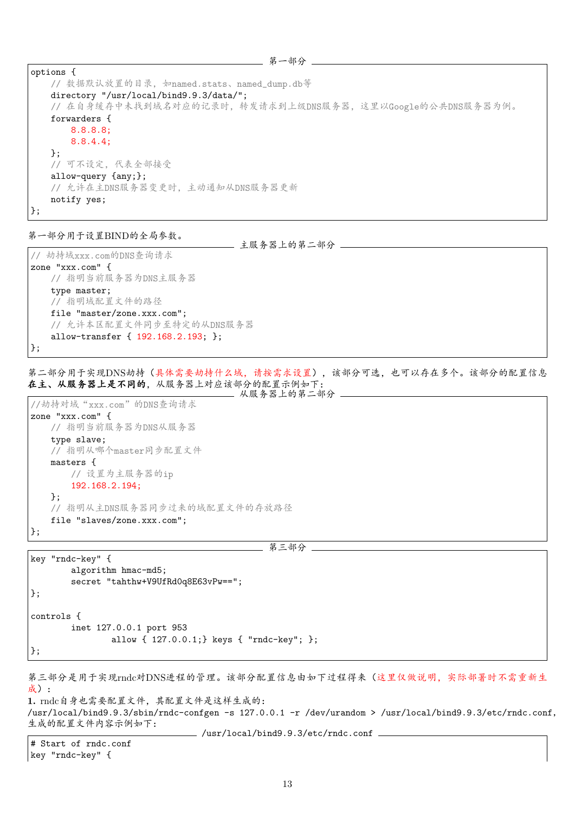options { // 数据默认放置的目录, 如named.stats、named\_dump.db等 directory "/usr/local/bind9.9.3/data/"; // 在自身缓存中未找到域名对应的记录时, 转发请求到上级DNS服务器, 这里以Google的公共DNS服务器为例。 forwarders {  $8.8.8.8$  $8.8.4.4;$  $\}$ ; // 可不设定, 代表全部接受 allow-query {any;}; // 允许在主DNS服务器变更时, 主动通知从DNS服务器更新 notify yes;  $\}$ ;

### 第一部分用于设置BIND的全局参数。

\_\_ 主服务器上的第二部分 \_\_\_\_\_\_\_\_

// 劫持域xxx.com的DNS查询请求 zone "xxx.com" { // 指明当前服务器为DNS主服务器 type master; // 指明域配置文件的路径 file "master/zone.xxx.com"; // 允许本区配置文件同步至特定的从DNS服务器 allow-transfer { 192.168.2.193; };  $\}$ ;

第二部分用于实现DNS劫持(具体需要劫持什么域,请按需求设置),该部分可选,也可以存在多个。该部分的配置信息 在主、从服务器上是不同的, 从服务器上对应该部分的配置示例如下: \_ 从服务器上的第二部分

//劫持对域"xxx.com"的DNS查询请求 zone "xxx.com" { // 指明当前服务器为DNS从服务器 type slave; // 指明从哪个master同步配置文件 masters { // 设置为主服务器的ip 192.168.2.194;  $\}$ ; // 指明从主DNS服务器同步过来的域配置文件的存放路径 file "slaves/zone.xxx.com";  $\}$ ;

### 第三部分

```
key "rndc-key" {
        algorithm hmac-md5;
        secret "tahthw+V9UfRd0q8E63vPw==";
\};
controls {
        inet 127.0.0.1 port 953
                allow { 127.0.0.1;} keys { "rndc-key"; };
\} ;
```
第三部分是用于实现rndc对DNS进程的管理。该部分配置信息由如下过程得来(这里仅做说明,实际部署时不需重新生 成):

1. rndc自身也需要配置文件, 其配置文件是这样生成的:

/usr/local/bind9.9.3/sbin/rndc-confgen -s 127.0.0.1 -r /dev/urandom > /usr/local/bind9.9.3/etc/rndc.conf, 生成的配置文件内容示例如下:

 $\frac{1}{2}$  /usr/local/bind9.9.3/etc/rndc.conf  $\frac{1}{2}$ 

# Start of rndc.conf key "rndc-key" {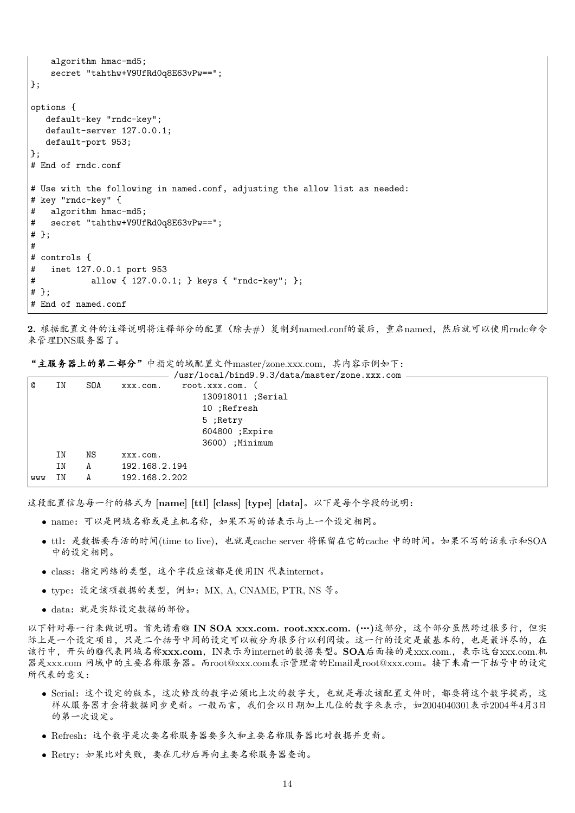```
algorithm hmac-md5;
    secret "tahthw+V9UfRd0q8E63vPw==";
\};
options {
  default-key "rndc-key";
  default-server 127.0.0.1;
  default-port 953;
\};
# End of rndc.conf
# Use with the following in named.conf, adjusting the allow list as needed:
# key "rndc-key" {
#algorithm hmac-md5;
   secret "tahthw+V9UfRd0q8E63vPw==";
## \};
#
# controls {
#inet 127.0.0.1 port 953
\#allow { 127.0.0.1; } keys { "rndc-key"; };
# } ;
# End of named.conf
```
2. 根据配置文件的注释说明将注释部分的配置(除去#)复制到named.conf的最后, 重启named, 然后就可以使用rndc命令 来管理DNS服务器了。

"主服务器上的第二部分"中指定的域配置文件master/zone.xxx.com, 其内容示例如下:

|     |    |     |               | /usr/local/bind9.9.3/data/master/zone.xxx.com |  |
|-----|----|-----|---------------|-----------------------------------------------|--|
| Q   | ΙN | SOA | XXX.COM.      | root.xxx.com.                                 |  |
|     |    |     |               | 130918011 ; Serial                            |  |
|     |    |     |               | 10 ; Refresh                                  |  |
|     |    |     |               | 5; Retry                                      |  |
|     |    |     |               | 604800 ; Expire                               |  |
|     |    |     |               | 3600) ; Minimum                               |  |
|     | IN | ΝS  | XXX.COM.      |                                               |  |
|     | IN | A   | 192.168.2.194 |                                               |  |
| WWW | ΙN | A   | 192.168.2.202 |                                               |  |

这段配置信息每一行的格式为 [name] [ttl] [class] [type] [data]。以下是每个字段的说明:

- · name: 可以是网域名称或是主机名称, 如果不写的话表示与上一个设定相同。
- ttl: 是数据要存活的时间(time to live),也就是cache server 将保留在它的cache 中的时间。如果不写的话表示和SOA 中的设定相同。
- · class: 指定网络的类型, 这个字段应该都是使用IN 代表internet。
- type: 设定该项数据的类型, 例如: MX, A. CNAME, PTR, NS 等。
- · data: 就是实际设定数据的部份。

以下针对每一行来做说明。首先请看@ IN SOA xxx.com. root.xxx.com. (…)这部分, 这个部分虽然跨过很多行, 但实 际上是一个设定项目,只是二个括号中间的设定可以被分为很多行以利阅读。这一行的设定是最基本的,也是最详尽的,在 该行中,开头的@代表网域名称xxx.com, IN表示为internet的数据类型。SOA后面接的是xxx.com., 表示这台xxx.com.机 器是xxx.com 网域中的主要名称服务器。而root@xxx.com表示管理者的Email是root@xxx.com。接下来看一下括号中的设定 所代表的意义:

- Serial: 这个设定的版本, 这次修改的数字必须比上次的数字大, 也就是每次该配置文件时, 都要将这个数字提高, 这 样从服务器才会将数据同步更新。一般而言, 我们会以日期加上几位的数字来表示, 如2004040301表示2004年4月3日 的第一次设定。
- Refresh: 这个数字是次要名称服务器要多久和主要名称服务器比对数据并更新。
- · Retry: 如果比对失败, 要在几秒后再向主要名称服务器查询。